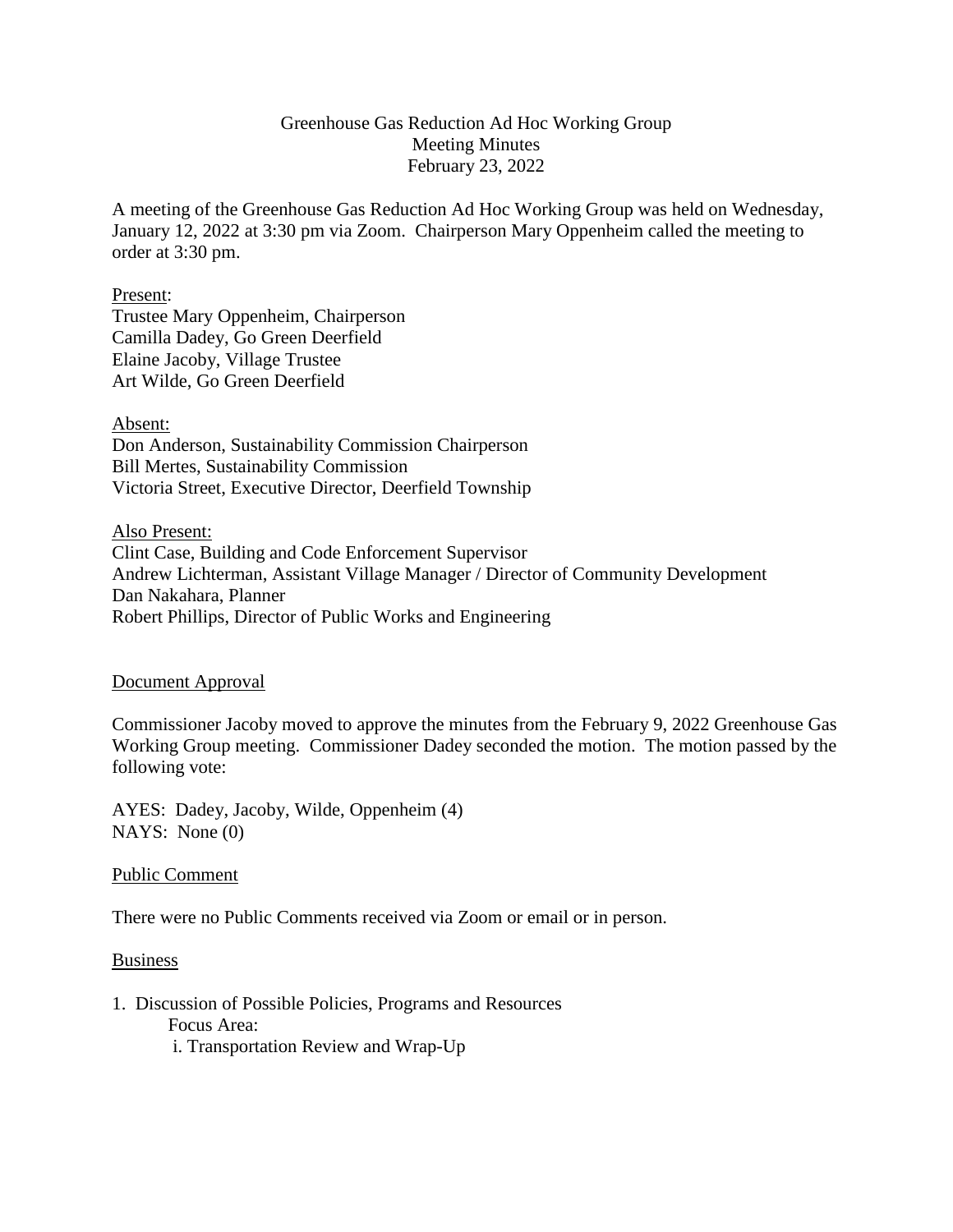## Greenhouse Gas Reduction Ad Hoc Working Group Meeting Minutes February 23, 2022

A meeting of the Greenhouse Gas Reduction Ad Hoc Working Group was held on Wednesday, January 12, 2022 at 3:30 pm via Zoom. Chairperson Mary Oppenheim called the meeting to order at 3:30 pm.

### Present:

Trustee Mary Oppenheim, Chairperson Camilla Dadey, Go Green Deerfield Elaine Jacoby, Village Trustee Art Wilde, Go Green Deerfield

Absent: Don Anderson, Sustainability Commission Chairperson Bill Mertes, Sustainability Commission Victoria Street, Executive Director, Deerfield Township

Also Present: Clint Case, Building and Code Enforcement Supervisor Andrew Lichterman, Assistant Village Manager / Director of Community Development Dan Nakahara, Planner

Robert Phillips, Director of Public Works and Engineering

### Document Approval

Commissioner Jacoby moved to approve the minutes from the February 9, 2022 Greenhouse Gas Working Group meeting. Commissioner Dadey seconded the motion. The motion passed by the following vote:

AYES: Dadey, Jacoby, Wilde, Oppenheim (4) NAYS: None (0)

Public Comment

There were no Public Comments received via Zoom or email or in person.

### Business

1. Discussion of Possible Policies, Programs and Resources Focus Area: i. Transportation Review and Wrap-Up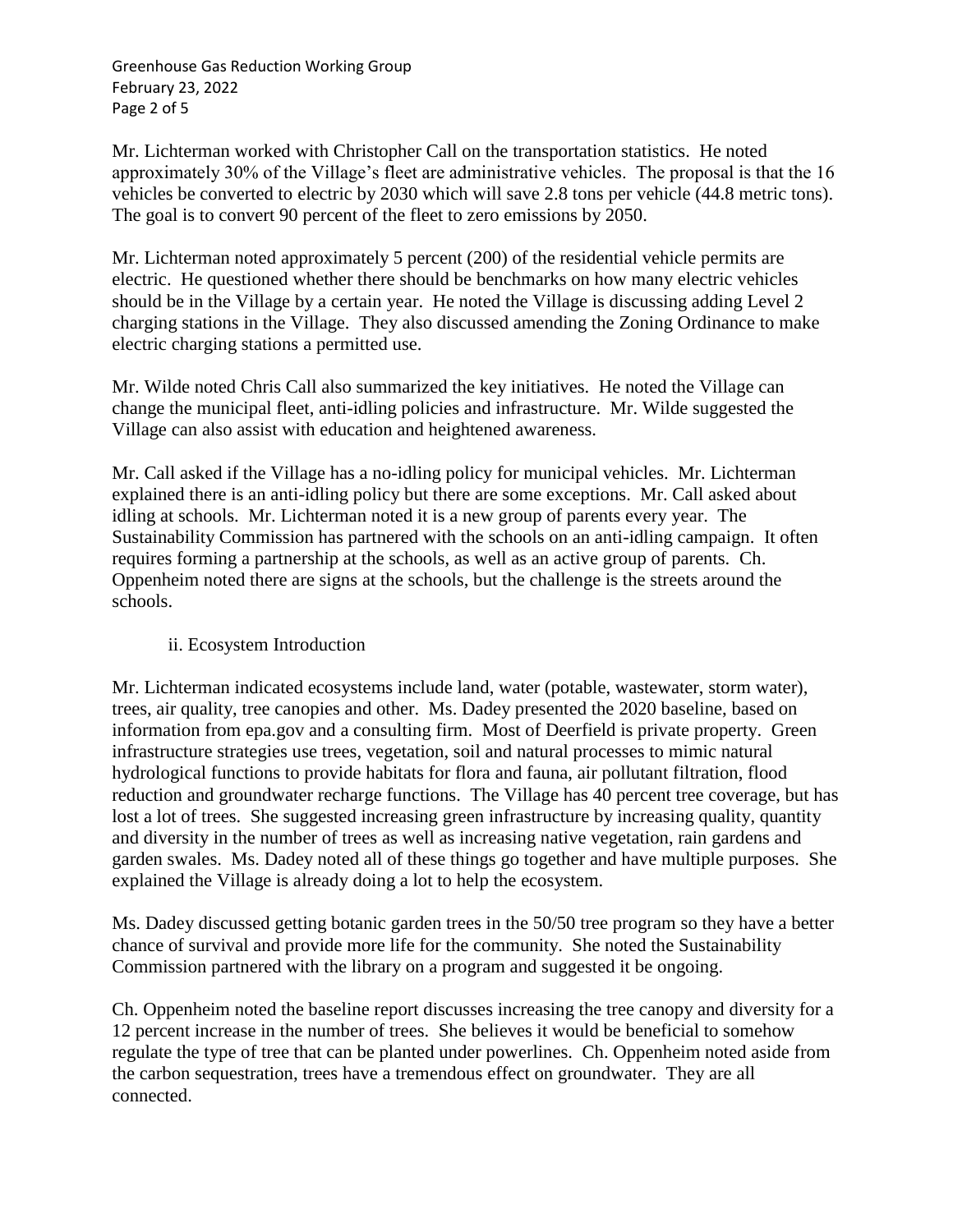Greenhouse Gas Reduction Working Group February 23, 2022 Page 2 of 5

Mr. Lichterman worked with Christopher Call on the transportation statistics. He noted approximately 30% of the Village's fleet are administrative vehicles. The proposal is that the 16 vehicles be converted to electric by 2030 which will save 2.8 tons per vehicle (44.8 metric tons). The goal is to convert 90 percent of the fleet to zero emissions by 2050.

Mr. Lichterman noted approximately 5 percent (200) of the residential vehicle permits are electric. He questioned whether there should be benchmarks on how many electric vehicles should be in the Village by a certain year. He noted the Village is discussing adding Level 2 charging stations in the Village. They also discussed amending the Zoning Ordinance to make electric charging stations a permitted use.

Mr. Wilde noted Chris Call also summarized the key initiatives. He noted the Village can change the municipal fleet, anti-idling policies and infrastructure. Mr. Wilde suggested the Village can also assist with education and heightened awareness.

Mr. Call asked if the Village has a no-idling policy for municipal vehicles. Mr. Lichterman explained there is an anti-idling policy but there are some exceptions. Mr. Call asked about idling at schools. Mr. Lichterman noted it is a new group of parents every year. The Sustainability Commission has partnered with the schools on an anti-idling campaign. It often requires forming a partnership at the schools, as well as an active group of parents. Ch. Oppenheim noted there are signs at the schools, but the challenge is the streets around the schools.

# ii. Ecosystem Introduction

Mr. Lichterman indicated ecosystems include land, water (potable, wastewater, storm water), trees, air quality, tree canopies and other. Ms. Dadey presented the 2020 baseline, based on information from epa.gov and a consulting firm. Most of Deerfield is private property. Green infrastructure strategies use trees, vegetation, soil and natural processes to mimic natural hydrological functions to provide habitats for flora and fauna, air pollutant filtration, flood reduction and groundwater recharge functions. The Village has 40 percent tree coverage, but has lost a lot of trees. She suggested increasing green infrastructure by increasing quality, quantity and diversity in the number of trees as well as increasing native vegetation, rain gardens and garden swales. Ms. Dadey noted all of these things go together and have multiple purposes. She explained the Village is already doing a lot to help the ecosystem.

Ms. Dadey discussed getting botanic garden trees in the 50/50 tree program so they have a better chance of survival and provide more life for the community. She noted the Sustainability Commission partnered with the library on a program and suggested it be ongoing.

Ch. Oppenheim noted the baseline report discusses increasing the tree canopy and diversity for a 12 percent increase in the number of trees. She believes it would be beneficial to somehow regulate the type of tree that can be planted under powerlines. Ch. Oppenheim noted aside from the carbon sequestration, trees have a tremendous effect on groundwater. They are all connected.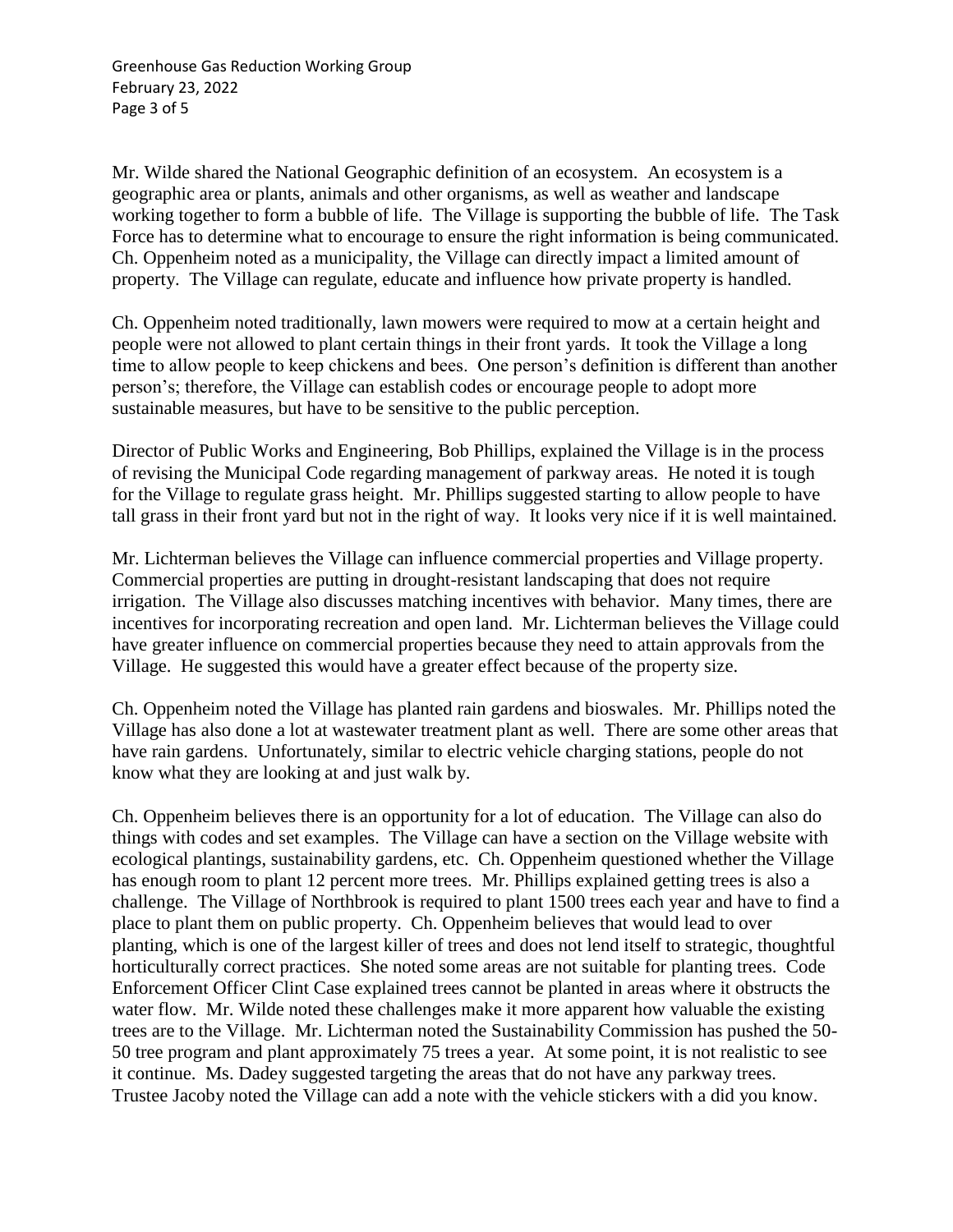Greenhouse Gas Reduction Working Group February 23, 2022 Page 3 of 5

Mr. Wilde shared the National Geographic definition of an ecosystem. An ecosystem is a geographic area or plants, animals and other organisms, as well as weather and landscape working together to form a bubble of life. The Village is supporting the bubble of life. The Task Force has to determine what to encourage to ensure the right information is being communicated. Ch. Oppenheim noted as a municipality, the Village can directly impact a limited amount of property. The Village can regulate, educate and influence how private property is handled.

Ch. Oppenheim noted traditionally, lawn mowers were required to mow at a certain height and people were not allowed to plant certain things in their front yards. It took the Village a long time to allow people to keep chickens and bees. One person's definition is different than another person's; therefore, the Village can establish codes or encourage people to adopt more sustainable measures, but have to be sensitive to the public perception.

Director of Public Works and Engineering, Bob Phillips, explained the Village is in the process of revising the Municipal Code regarding management of parkway areas. He noted it is tough for the Village to regulate grass height. Mr. Phillips suggested starting to allow people to have tall grass in their front yard but not in the right of way. It looks very nice if it is well maintained.

Mr. Lichterman believes the Village can influence commercial properties and Village property. Commercial properties are putting in drought-resistant landscaping that does not require irrigation. The Village also discusses matching incentives with behavior. Many times, there are incentives for incorporating recreation and open land. Mr. Lichterman believes the Village could have greater influence on commercial properties because they need to attain approvals from the Village. He suggested this would have a greater effect because of the property size.

Ch. Oppenheim noted the Village has planted rain gardens and bioswales. Mr. Phillips noted the Village has also done a lot at wastewater treatment plant as well. There are some other areas that have rain gardens. Unfortunately, similar to electric vehicle charging stations, people do not know what they are looking at and just walk by.

Ch. Oppenheim believes there is an opportunity for a lot of education. The Village can also do things with codes and set examples. The Village can have a section on the Village website with ecological plantings, sustainability gardens, etc. Ch. Oppenheim questioned whether the Village has enough room to plant 12 percent more trees. Mr. Phillips explained getting trees is also a challenge. The Village of Northbrook is required to plant 1500 trees each year and have to find a place to plant them on public property. Ch. Oppenheim believes that would lead to over planting, which is one of the largest killer of trees and does not lend itself to strategic, thoughtful horticulturally correct practices. She noted some areas are not suitable for planting trees. Code Enforcement Officer Clint Case explained trees cannot be planted in areas where it obstructs the water flow. Mr. Wilde noted these challenges make it more apparent how valuable the existing trees are to the Village. Mr. Lichterman noted the Sustainability Commission has pushed the 50- 50 tree program and plant approximately 75 trees a year. At some point, it is not realistic to see it continue. Ms. Dadey suggested targeting the areas that do not have any parkway trees. Trustee Jacoby noted the Village can add a note with the vehicle stickers with a did you know.